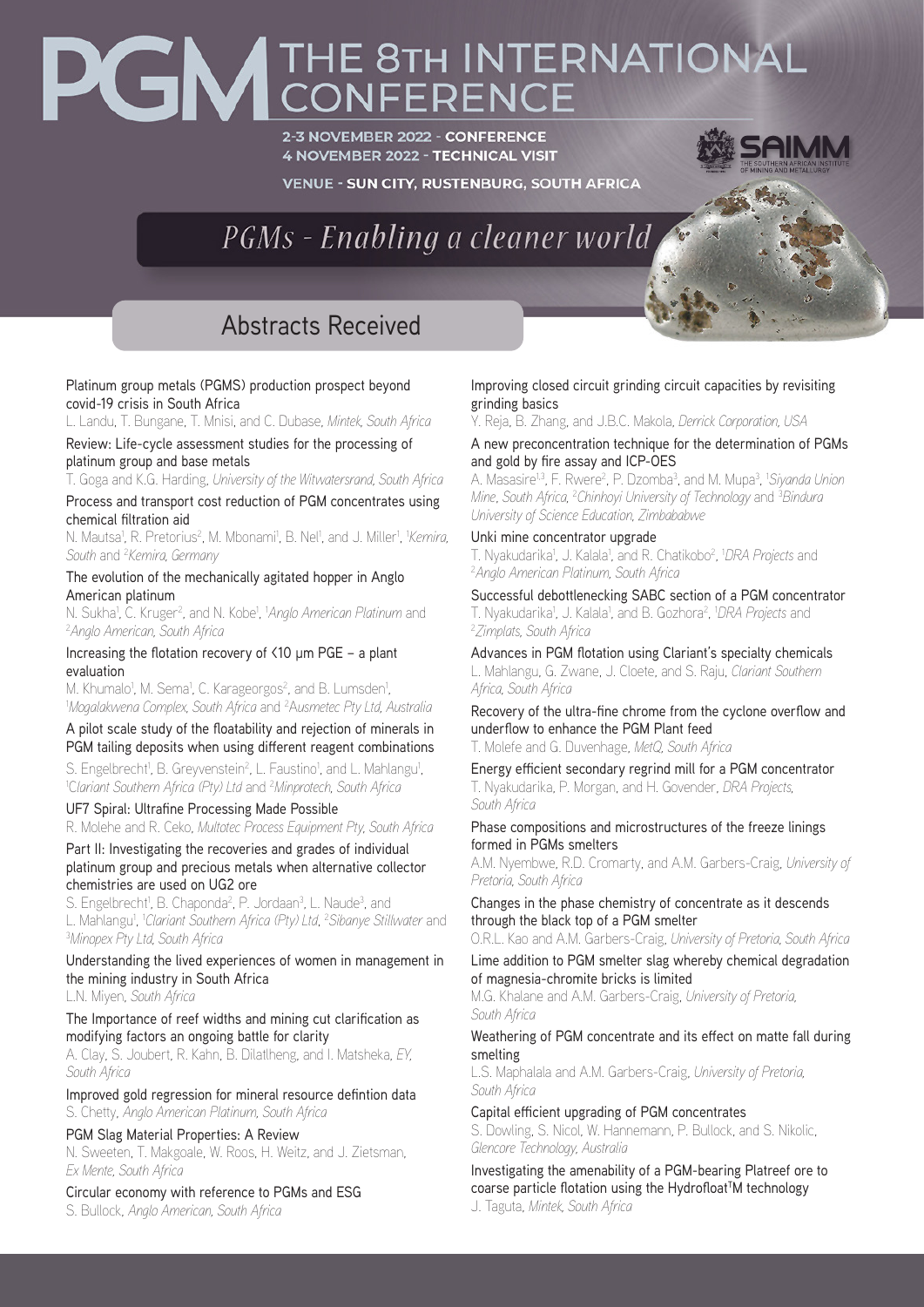## PGM THE 8TH INTERNATIONAL

2-3 NOVEMBER 2022 - CONFERENCE **4 NOVEMBER 2022 - TECHNICAL VISIT** 

**VENUE - SUN CITY, RUSTENBURG, SOUTH AFRICA** 

PGMs - Enabling a cleaner world

## Abstracts Received

#### Platinum group metals (PGMS) production prospect beyond covid-19 crisis in South Africa

L. Landu, T. Bungane, T. Mnisi, and C. Dubase, *Mintek, South Africa* 

Review: Life-cycle assessment studies for the processing of platinum group and base metals

T. Goga and K.G. Harding, *University of the Witwatersrand, South Africa* 

Process and transport cost reduction of PGM concentrates using chemical filtration aid

N. Mautsa<sup>1</sup>, R. Pretorius<sup>2</sup>, M. Mbonami<sup>1</sup>, B. Nel<sup>1</sup>, and J. Miller<sup>1</sup>, *'Kemira, South* and 2 *Kemira, Germany*

The evolution of the mechanically agitated hopper in Anglo American platinum

N. Sukha<sup>1</sup>, C. Kruger<sup>2</sup>, and N. Kobe<sup>1</sup>, <sup>1</sup>Anglo American Platinum and<br><sup>2</sup>Anglo American, South Africa *Anglo American, South Africa*

#### Increasing the flotation recovery of <10 μm PGE – a plant evaluation

M. Khumalo<sup>1</sup>, M. Sema<sup>1</sup>, C. Karageorgos<sup>2</sup>, and B. Lumsden<sup>1</sup>,<br>'Mogalakwena Complex, South Africa and <sup>2</sup>Ausmetec Pty Ltd, A *Mogalakwena Complex, South Africa* and 2 A*usmetec Pty Ltd, Australia*

#### A pilot scale study of the floatability and rejection of minerals in PGM tailing deposits when using different reagent combinations

S. Engelbrecht<sup>1</sup>, B. Greyvenstein<sup>2</sup>, L. Faustino<sup>1</sup>, and L. Mahlangu<sup>1</sup>,<br><sup>1</sup>Clariant Southern Africa (Ptv) Ltd and <sup>2</sup>Minnrotech, South Africa C*lariant Southern Africa (Pty) Ltd* and 2 *Minprotech, South Africa* 

#### UF7 Spiral: Ultrafine Processing Made Possible

R. Molehe and R. Ceko, *Multotec Process Equipment Pty, South Africa* 

Part II: Investigating the recoveries and grades of individual platinum group and precious metals when alternative collector chemistries are used on UG2 ore

S. Engelbrecht<sup>1</sup>, B. Chaponda<sup>2</sup>, P. Jordaan<sup>3</sup>, L. Naude<sup>3</sup>, and L. Mahlangu<sup>1</sup>, 'Cl*ariant Southern Africa (Pty) Ltd, <sup>2</sup>Sibanye Stillwater* and<br><sup>3</sup>Minonex Pty Ltd, South Africa *Minopex Pty Ltd, South Africa* 

Understanding the lived experiences of women in management in the mining industry in South Africa

L.N. Miyen, *South Africa* 

#### The Importance of reef widths and mining cut clarification as modifying factors an ongoing battle for clarity

A. Clay, S. Joubert, R. Kahn, B. Dilatlheng, and I. Matsheka, *EY, South Africa* 

Improved gold regression for mineral resource defintion data S. Chetty, *Anglo American Platinum, South Africa*

### PGM Slag Material Properties: A Review

N. Sweeten, T. Makgoale, W. Roos, H. Weitz, and J. Zietsman, *Ex Mente, South Africa*

#### Circular economy with reference to PGMs and ESG

S. Bullock, *Anglo American, South Africa* 

#### Improving closed circuit grinding circuit capacities by revisiting grinding basics

Y. Reja, B. Zhang, and J.B.C. Makola, *Derrick Corporation, USA*

A new preconcentration technique for the determination of PGMs and gold by fire assay and ICP-OES

A. Masasire<sup>1,3</sup>, F. Rwere<sup>2</sup>, P. Dzomba<sup>3</sup>, and M. Mupa<sup>3</sup>, <sup>1</sup>Siyanda Union *Mine*, *South Africa,* <sup>2</sup> *Chinhoyi University of Technology* and 3 *Bindura University of Science Education, Zimbababwe* 

Unki mine concentrator upgrade T. Nyakudarika<sup>1</sup>, J. Kalala<sup>1</sup>, and R. Chatikobo<sup>2</sup>, <sup>1</sup>DRA *Projects* and<br><sup>2</sup>Anglo American Platinum, South Africa *Anglo American Platinum, South Africa*

Successful debottlenecking SABC section of a PGM concentrator T. Nyakudarika<sup>1</sup>, J. Kalala<sup>1</sup>, and B. Gozhora<sup>2</sup>, 1*DRA Projects* and<br><sup>2 Zi</sup>mnlats, South Africa *Zimplats, South Africa*

Advances in PGM flotation using Clariant's specialty chemicals L. Mahlangu, G. Zwane, J. Cloete, and S. Raju, *Clariant Southern Africa, South Africa* 

Recovery of the ultra-fine chrome from the cyclone overflow and underflow to enhance the PGM Plant feed T. Molefe and G. Duvenhage, *MetQ, South Africa*

Energy efficient secondary regrind mill for a PGM concentrator T. Nyakudarika, P. Morgan, and H. Govender, *DRA Projects, South Africa*

#### Phase compositions and microstructures of the freeze linings formed in PGMs smelters

A.M. Nyembwe, R.D. Cromarty, and A.M. Garbers-Craig, *University of Pretoria, South Africa*

Changes in the phase chemistry of concentrate as it descends through the black top of a PGM smelter

O.R.L. Kao and A.M. Garbers-Craig, *University of Pretoria, South Africa*

Lime addition to PGM smelter slag whereby chemical degradation of magnesia-chromite bricks is limited

M.G. Khalane and A.M. Garbers-Craig, *University of Pretoria, South Africa* 

#### Weathering of PGM concentrate and its effect on matte fall during smelting

L.S. Maphalala and A.M. Garbers-Craig, *University of Pretoria, South Africa*

Capital efficient upgrading of PGM concentrates

S. Dowling, S. Nicol, W. Hannemann, P. Bullock, and S. Nikolic, *Glencore Technology, Australia*

Investigating the amenability of a PGM-bearing Platreef ore to coarse particle flotation using the Hydrofloat<sup>T</sup>M technology J. Taguta, *Mintek, South Africa*